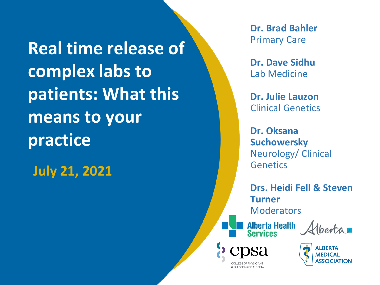**Real time release of complex labs to patients: What this means to your practice**

**July 21, 2021**

**Dr. Brad Bahler** Primary Care

**Dr. Dave Sidhu** Lab Medicine

**Dr. Julie Lauzon** Clinical Genetics

**Dr. Oksana Suchowersky** Neurology/ Clinical **Genetics** 

**Drs. Heidi Fell & Steven Turner Moderators** 

**Alberta Health<br>Services** 

Verta

**& SLIRGEONS OF ALBERTA** 

ALBERTA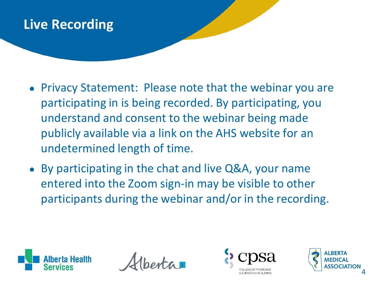## **Live Recording**

- Privacy Statement: Please note that the webinar you are participating in is being recorded. By participating, you understand and consent to the webinar being made publicly available via a link on the AHS website for an undetermined length of time.
- By participating in the chat and live Q&A, your name entered into the Zoom sign-in may be visible to other participants during the webinar and/or in the recording.





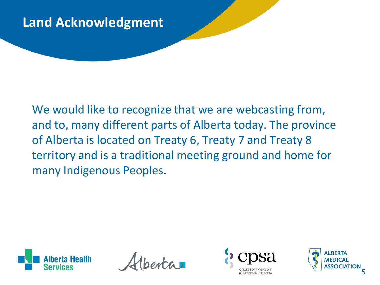## **Land Acknowledgment**

We would like to recognize that we are webcasting from, and to, many different parts of Alberta today. The province of Alberta is located on Treaty 6, Treaty 7 and Treaty 8 territory and is a traditional meeting ground and home for many Indigenous Peoples.



 $int_a$ 



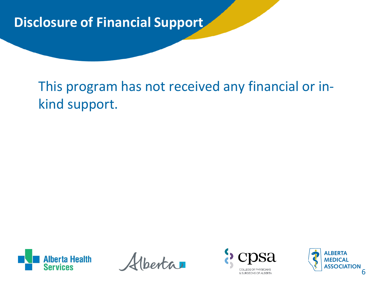## **Disclosure of Financial Support**

# This program has not received any financial or inkind support.



 $ext{a}$ 



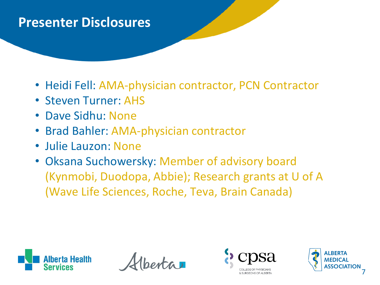#### **Presenter Disclosures**

- Heidi Fell: AMA-physician contractor, PCN Contractor
- Steven Turner: AHS
- Dave Sidhu: None
- Brad Bahler: AMA-physician contractor
- Julie Lauzon: None
- Oksana Suchowersky: Member of advisory board (Kynmobi, Duodopa, Abbie); Research grants at U of A (Wave Life Sciences, Roche, Teva, Brain Canada)





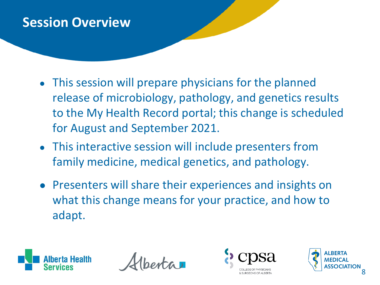#### **Session Overview**

- This session will prepare physicians for the planned release of microbiology, pathology, and genetics results to the My Health Record portal; this change is scheduled for August and September 2021.
- This interactive session will include presenters from family medicine, medical genetics, and pathology.
- Presenters will share their experiences and insights on what this change means for your practice, and how to adapt.





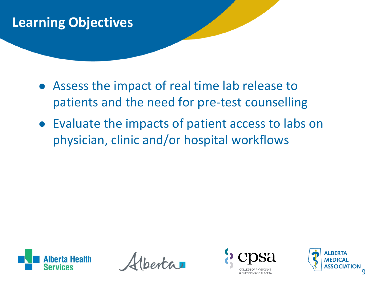## **Learning Objectives**

- Assess the impact of real time lab release to patients and the need for pre-test counselling
- Evaluate the impacts of patient access to labs on physician, clinic and/or hospital workflows





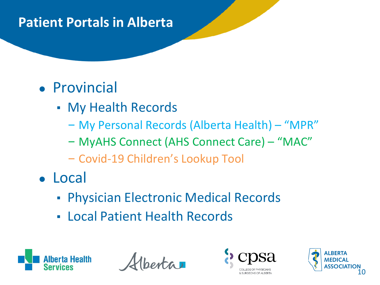## **Patient Portals in Alberta**

# ● Provincial

- My Health Records
	- My Personal Records (Alberta Health) "MPR"
	- MyAHS Connect (AHS Connect Care) "MAC"
	- Covid-19 Children's Lookup Tool
- Local
	- **Physician Electronic Medical Records**
	- Local Patient Health Records





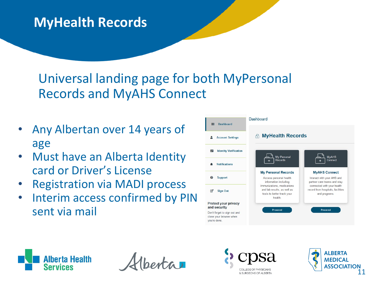## **MyHealth Records**

## Universal landing page for both MyPersonal Records and MyAHS Connect

- Any Albertan over 14 years of age
- Must have an Alberta Identity card or Driver's License
- Registration via MADI process
- Interim access confirmed by PIN sent via mail







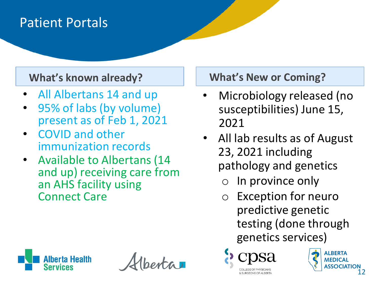#### Patient Portals

- All Albertans 14 and up
- 95% of labs (by volume) present as of Feb 1, 2021
- COVID and other immunization records
- Available to Albertans (14 and up) receiving care from an AHS facility using Connect Care

#### **What's known already? What's New or Coming?**

- Microbiology released (no susceptibilities) June 15, 2021
- All lab results as of August 23, 2021 including pathology and genetics
	- In province only

C SHRGEONS OF ALRERTA

o Exception for neuro predictive genetic testing (done through genetics services)



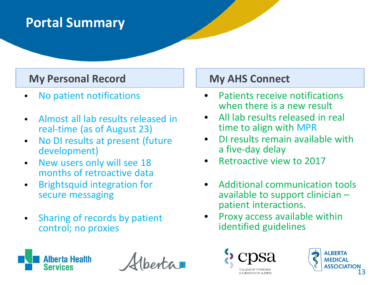## **Portal Summary**

#### **My Personal Record My AHS Connect**

- No patient notifications
- Almost all lab results released in real-time (as of August 23)
- No DI results at present (future development)
- New users only will see 18 months of retroactive data
- Brightsquid integration for secure messaging
- Sharing of records by patient control; no proxies



 $ext{a}$ 

- Patients receive notifications when there is a new result
- All lab results released in real time to align with MPR
- DI results remain available with a five-day delay
- Retroactive view to 2017
- Additional communication tools available to support clinician – patient interactions.
- Proxy access available within identified guidelines



SLIRGEONS OF ALRER

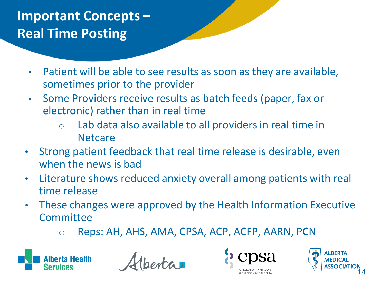# **Important Concepts – Real Time Posting**

- Patient will be able to see results as soon as they are available, sometimes prior to the provider
- Some Providers receive results as batch feeds (paper, fax or electronic) rather than in real time
	- o Lab data also available to all providers in real time in **Netcare**
- Strong patient feedback that real time release is desirable, even when the news is bad
- Literature shows reduced anxiety overall among patients with real time release
- These changes were approved by the Health Information Executive **Committee** 
	- o Reps: AH, AHS, AMA, CPSA, ACP, ACFP, AARN, PCN





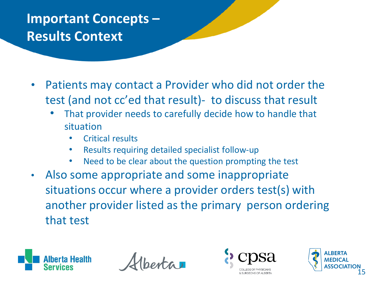## **Important Concepts – Results Context**

- Patients may contact a Provider who did not order the test (and not cc'ed that result)- to discuss that result
	- That provider needs to carefully decide how to handle that situation
		- Critical results
		- Results requiring detailed specialist follow-up
		- Need to be clear about the question prompting the test
- Also some appropriate and some inappropriate situations occur where a provider orders test(s) with another provider listed as the primary person ordering that test





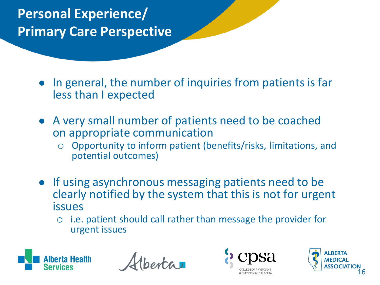**Personal Experience/ Primary Care Perspective**

> In general, the number of inquiries from patients is far less than I expected

- A very small number of patients need to be coached on appropriate communication
	- o Opportunity to inform patient (benefits/risks, limitations, and potential outcomes)
- If using asynchronous messaging patients need to be clearly notified by the system that this is not for urgent issues
	- o i.e. patient should call rather than message the provider for urgent issues





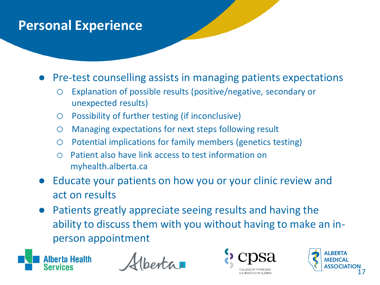#### **Personal Experience**

● Pre-test counselling assists in managing patients expectations

- o Explanation of possible results (positive/negative, secondary or unexpected results)
- o Possibility of further testing (if inconclusive)
- o Managing expectations for next steps following result
- o Potential implications for family members (genetics testing)
- o Patient also have link access to test information on myhealth.alberta.ca
- Educate your patients on how you or your clinic review and act on results
- Patients greatly appreciate seeing results and having the ability to discuss them with you without having to make an inperson appointment





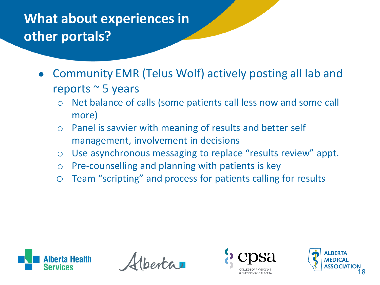# **What about experiences in other portals?**

- Community EMR (Telus Wolf) actively posting all lab and reports ~ 5 years
	- o Net balance of calls (some patients call less now and some call more)
	- o Panel is savvier with meaning of results and better self management, involvement in decisions
	- o Use asynchronous messaging to replace "results review" appt.
	- o Pre-counselling and planning with patients is key
	- o Team "scripting" and process for patients calling for results





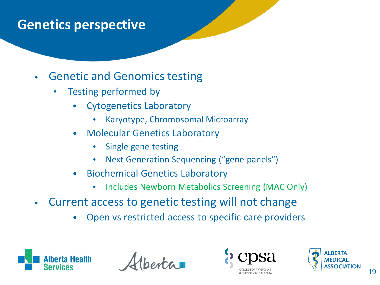- Genetic and Genomics testing
	- Testing performed by
		- Cytogenetics Laboratory
			- Karyotype, Chromosomal Microarray
		- Molecular Genetics Laboratory
			- Single gene testing
			- Next Generation Sequencing ("gene panels")
		- Biochemical Genetics Laboratory
			- Includes Newborn Metabolics Screening (MAC Only)
- Current access to genetic testing will not change
	- Open vs restricted access to specific care providers





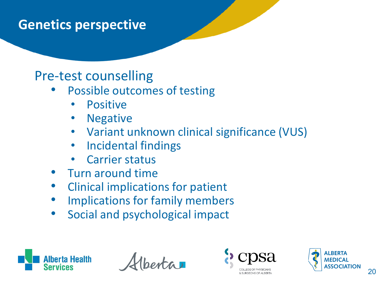#### Pre-test counselling

- Possible outcomes of testing
	- **Positive**
	- **Negative**
	- Variant unknown clinical significance (VUS)
	- Incidental findings
	- Carrier status
- Turn around time
- Clinical implications for patient
- Implications for family members
- Social and psychological impact





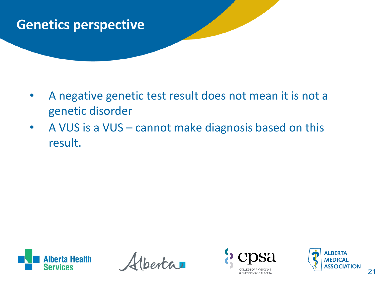- A negative genetic test result does not mean it is not a genetic disorder
- A VUS is a VUS cannot make diagnosis based on this result.



 $ext{a}$ 



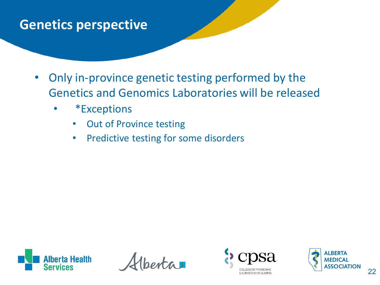- Only in-province genetic testing performed by the Genetics and Genomics Laboratories will be released
	- \*Exceptions
		- Out of Province testing
		- Predictive testing for some disorders





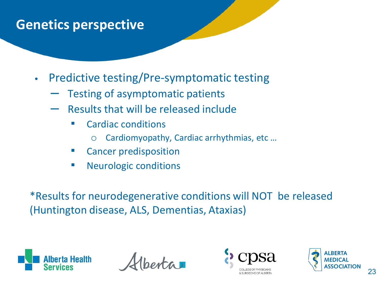- Predictive testing/Pre-symptomatic testing
	- Testing of asymptomatic patients
	- Results that will be released include
		- **Cardiac conditions** 
			- o Cardiomyopathy, Cardiac arrhythmias, etc …
		- **Cancer predisposition**
		- Neurologic conditions

\*Results for neurodegenerative conditions will NOT be released (Huntington disease, ALS, Dementias, Ataxias)





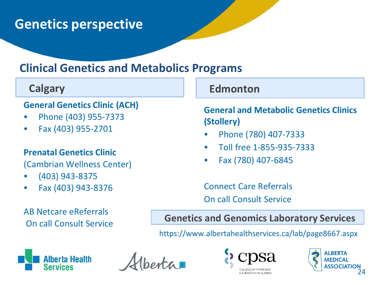#### **Clinical Genetics and Metabolics Programs**

#### **General Genetics Clinic (ACH)**

- Phone (403) 955-7373
- Fax (403) 955-2701

#### **Prenatal Genetics Clinic**

(Cambrian Wellness Center)

- (403) 943-8375
- Fax (403) 943-8376

#### AB Netcare eReferrals On call Consult Service

#### **Calgary Edmonton**

**General and Metabolic Genetics Clinics (Stollery)**

- Phone (780) 407-7333
- Toll free 1-855-935-7333
- Fax (780) 407-6845

Connect Care Referrals On call Consult Service

**Genetics and Genomics Laboratory Services** 

https://www.albertahealthservices.ca/lab/page8667.aspx





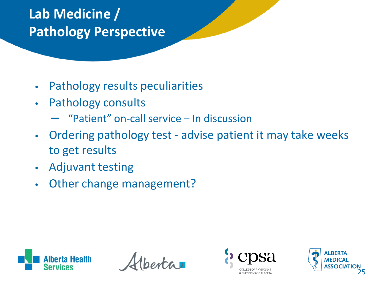# **Lab Medicine / Pathology Perspective**

- Pathology results peculiarities
- Pathology consults
	- "Patient" on-call service In discussion
- Ordering pathology test advise patient it may take weeks to get results
- Adjuvant testing
- Other change management?





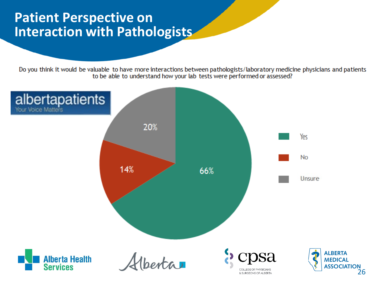#### **Patient Perspective on Interaction with Pathologists**

Do you think it would be valuable to have more interactions between pathologists/laboratory medicine physicians and patients to be able to understand how your lab tests were performed or assessed?

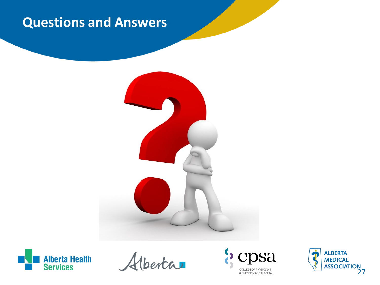## **Questions and Answers**





Hberta